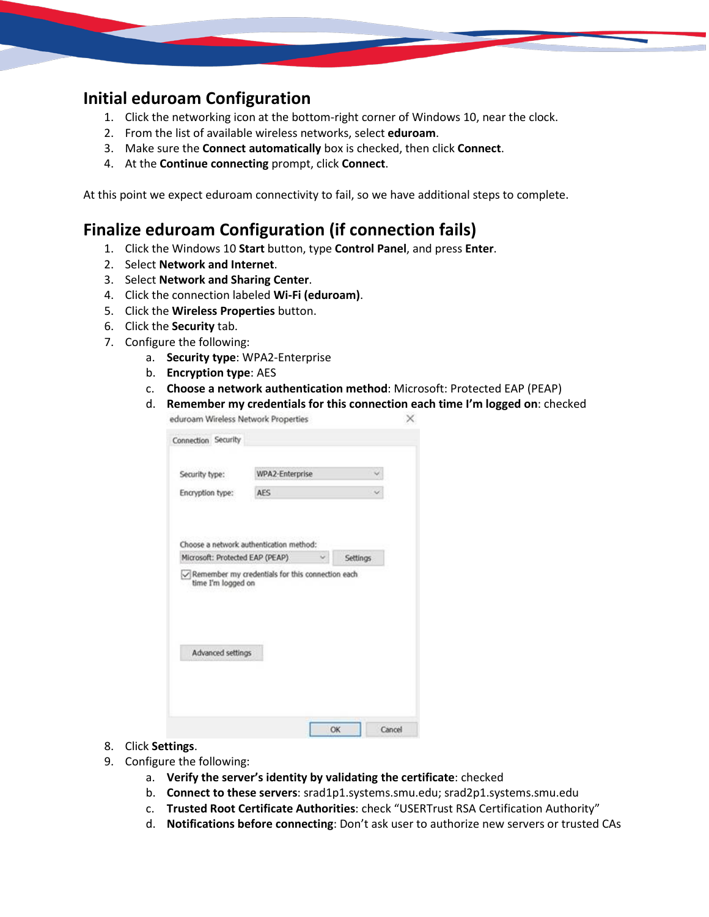## **Initial eduroam Configuration**

- 1. Click the networking icon at the bottom-right corner of Windows 10, near the clock.
- 2. From the list of available wireless networks, select **eduroam**.
- 3. Make sure the **Connect automatically** box is checked, then click **Connect**.
- 4. At the **Continue connecting** prompt, click **Connect**.

At this point we expect eduroam connectivity to fail, so we have additional steps to complete.

## **Finalize eduroam Configuration (if connection fails)**

- 1. Click the Windows 10 **Start** button, type **Control Panel**, and press **Enter**.
- 2. Select **Network and Internet**.
- 3. Select **Network and Sharing Center**.
- 4. Click the connection labeled **Wi-Fi (eduroam)**.
- 5. Click the **Wireless Properties** button.
- 6. Click the **Security** tab.
- 7. Configure the following:
	- a. **Security type**: WPA2-Enterprise
	- b. **Encryption type**: AES
	- c. **Choose a network authentication method**: Microsoft: Protected EAP (PEAP)
	- d. **Remember my credentials for this connection each time I'm logged on**: checked eduroam Wireless Network Properties ×

| Security type:                                                                                                                                       | WPA2-Enterprise |   |          |
|------------------------------------------------------------------------------------------------------------------------------------------------------|-----------------|---|----------|
| Encryption type:                                                                                                                                     | <b>AES</b>      |   |          |
|                                                                                                                                                      |                 |   |          |
|                                                                                                                                                      |                 |   |          |
|                                                                                                                                                      |                 |   |          |
|                                                                                                                                                      |                 | u | Settings |
| Choose a network authentication method:<br>Microsoft: Protected EAP (PEAP)<br>Remember my credentials for this connection each<br>time I'm logged on |                 |   |          |
| Advanced settings                                                                                                                                    |                 |   |          |

- 8. Click **Settings**.
- 9. Configure the following:
	- a. **Verify the server's identity by validating the certificate**: checked
	- b. **Connect to these servers**: srad1p1.systems.smu.edu; srad2p1.systems.smu.edu
	- c. **Trusted Root Certificate Authorities**: check "USERTrust RSA Certification Authority"
	- d. **Notifications before connecting**: Don't ask user to authorize new servers or trusted CAs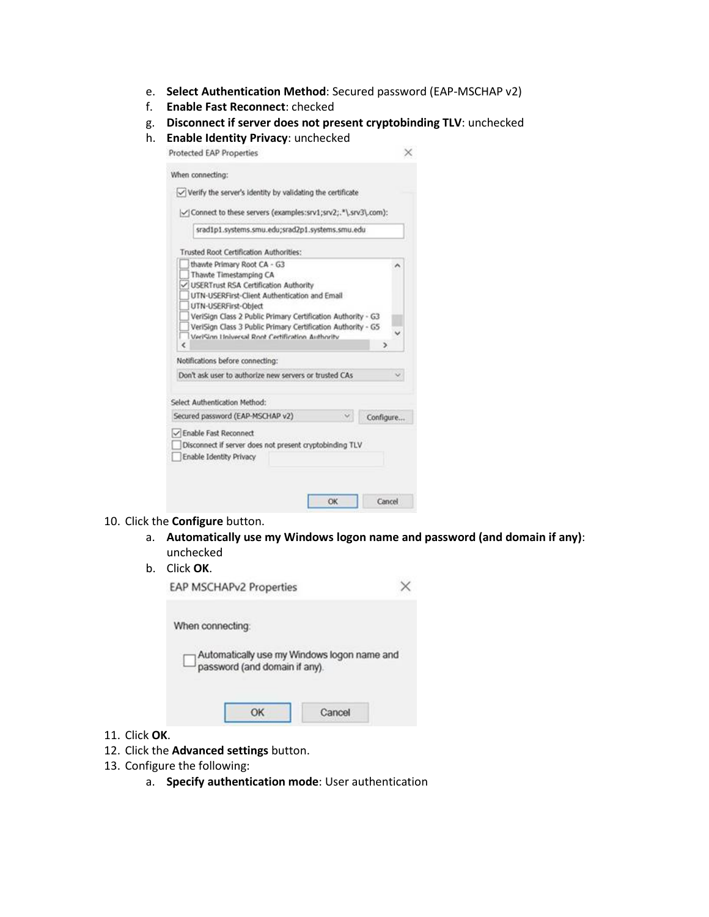- e. **Select Authentication Method**: Secured password (EAP-MSCHAP v2)
- f. **Enable Fast Reconnect**: checked
- g. **Disconnect if server does not present cryptobinding TLV**: unchecked
- h. **Enable Identity Privacy**: unchecked

| When connecting:                                                                                                                                                                                                                               |           |  |
|------------------------------------------------------------------------------------------------------------------------------------------------------------------------------------------------------------------------------------------------|-----------|--|
| $\checkmark$ Verify the server's identity by validating the certificate                                                                                                                                                                        |           |  |
| V  Connect to these servers (examples:srv1;srv2;."\.srv3\.com):                                                                                                                                                                                |           |  |
| srad1p1.systems.smu.edu;srad2p1.systems.smu.edu                                                                                                                                                                                                |           |  |
| Trusted Root Certification Authorities:                                                                                                                                                                                                        |           |  |
| thawte Primary Root CA - G3<br>Thawte Timestamping CA<br><b>USERTrust RSA Certification Authority</b><br>UTN-USERFirst-Client Authentication and Email<br>UTN-USERFirst-Object<br>VeriSign Class 2 Public Primary Certification Authority - G3 |           |  |
| VeriSign Class 3 Public Primary Certification Authority - G5                                                                                                                                                                                   |           |  |
| VeriSinn Universal Root Certification Authority                                                                                                                                                                                                | ∍         |  |
| Notifications before connecting:                                                                                                                                                                                                               |           |  |
|                                                                                                                                                                                                                                                |           |  |
| Don't ask user to authorize new servers or trusted CAs                                                                                                                                                                                         |           |  |
| Select Authentication Method:                                                                                                                                                                                                                  |           |  |
| Secured password (EAP-MSCHAP v2)                                                                                                                                                                                                               | Configure |  |

## 10. Click the **Configure** button.

a. **Automatically use my Windows logon name and password (and domain if any)**: unchecked

## b. Click **OK**.

| EAP MSCHAPv2 Properties       |                                             |
|-------------------------------|---------------------------------------------|
| When connecting:              |                                             |
| password (and domain if any). | Automatically use my Windows logon name and |
| ОК                            | Cancel                                      |

- 11. Click **OK**.
- 12. Click the **Advanced settings** button.
- 13. Configure the following:
	- a. **Specify authentication mode**: User authentication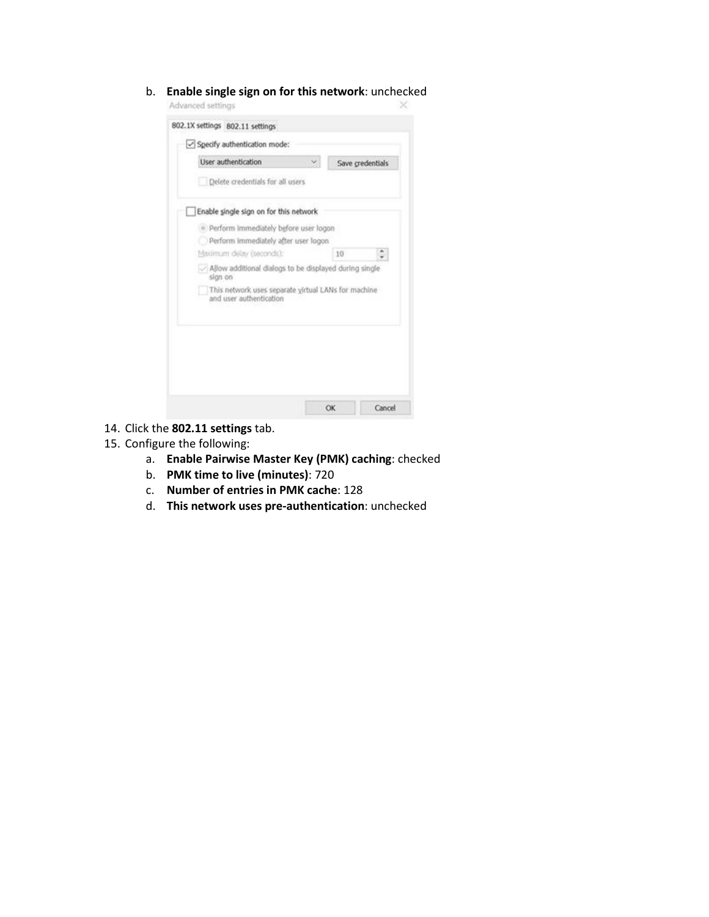b. **Enable single sign on for this network**: unchecked

| Delete credentials for all users                                  |                                                     |    |  |
|-------------------------------------------------------------------|-----------------------------------------------------|----|--|
| Enable single sign on for this network                            |                                                     |    |  |
| · Perform immediately before user logon                           |                                                     |    |  |
|                                                                   | Perform immediately after user logon                |    |  |
| Maximum delay (seconds):                                          |                                                     | 10 |  |
| Allow additional dialogs to be displayed during single<br>sign on |                                                     |    |  |
| and user authentication                                           | This network uses separate yirtual LANs for machine |    |  |
|                                                                   |                                                     |    |  |
|                                                                   |                                                     |    |  |
|                                                                   |                                                     |    |  |
|                                                                   |                                                     |    |  |
|                                                                   |                                                     |    |  |

- 14. Click the **802.11 settings** tab.
- 15. Configure the following:
	- a. **Enable Pairwise Master Key (PMK) caching**: checked
	- b. **PMK time to live (minutes)**: 720
	- c. **Number of entries in PMK cache**: 128
	- d. **This network uses pre-authentication**: unchecked